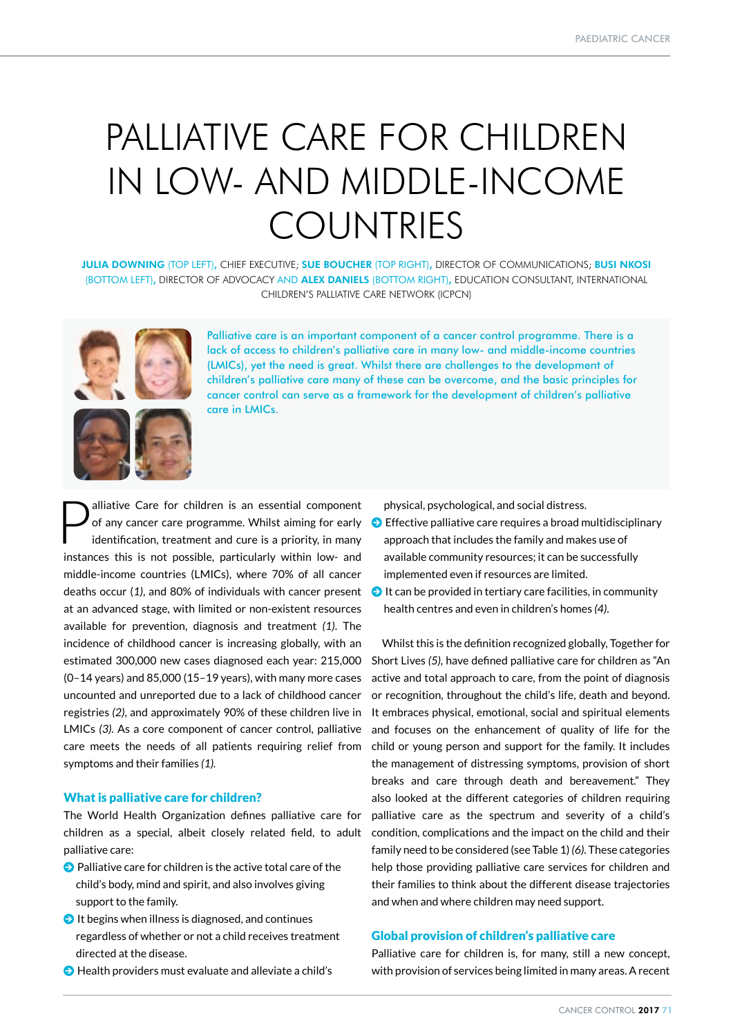# PALLIATIVE CARE FOR CHILDREN IN LOW- AND MIDDLE-INCOME **COUNTRIES**

JULIA DOWNING (TOP LEFT), CHIEF EXECUTIVE; SUE BOUCHER (TOP RIGHT), DIRECTOR OF COMMUNICATIONS; BUSI NKOSI (BOTTOM LEFT), DIRECTOR OF ADVOCACY AND ALEX DANIELS (BOTTOM RIGHT), EDUCATION CONSULTANT, INTERNATIONAL CHILDREN'S PALLIATIVE CARE NETWORK (ICPCN)





Palliative care is an important component of a cancer control programme. There is a lack of access to children's palliative care in many low- and middle-income countries (LMICs), yet the need is great. Whilst there are challenges to the development of children's palliative care many of these can be overcome, and the basic principles for cancer control can serve as a framework for the development of children's palliative care in LMICs.

**Palliative Care for children is an essential component of any cancer care programme. Whilst aiming for early identification, treatment and cure is a priority, in many** of any cancer care programme. Whilst aiming for early identification, treatment and cure is a priority, in many instances this is not possible, particularly within low- and middle-income countries (LMICs), where 70% of all cancer deaths occur (*1)*, and 80% of individuals with cancer present at an advanced stage, with limited or non-existent resources available for prevention, diagnosis and treatment *(1)*. The incidence of childhood cancer is increasing globally, with an estimated 300,000 new cases diagnosed each year: 215,000 (0–14 years) and 85,000 (15–19 years), with many more cases uncounted and unreported due to a lack of childhood cancer registries *(2)*, and approximately 90% of these children live in LMICs *(3).* As a core component of cancer control, palliative care meets the needs of all patients requiring relief from symptoms and their families *(1).*

# What is palliative care for children?

The World Health Organization defines palliative care for children as a special, albeit closely related field, to adult palliative care:

- $\bullet$  Palliative care for children is the active total care of the child's body, mind and spirit, and also involves giving support to the family.
- $\bullet$  It begins when illness is diagnosed, and continues regardless of whether or not a child receives treatment directed at the disease.
- $\Theta$  Health providers must evaluate and alleviate a child's

physical, psychological, and social distress.

- $\bigodot$  Effective palliative care requires a broad multidisciplinary approach that includes the family and makes use of available community resources; it can be successfully implemented even if resources are limited.
- $\bigodot$  It can be provided in tertiary care facilities, in community health centres and even in children's homes *(4)*.

Whilst this is the definition recognized globally, Together for Short Lives *(5),* have defined palliative care for children as "An active and total approach to care, from the point of diagnosis or recognition, throughout the child's life, death and beyond. It embraces physical, emotional, social and spiritual elements and focuses on the enhancement of quality of life for the child or young person and support for the family. It includes the management of distressing symptoms, provision of short breaks and care through death and bereavement." They also looked at the different categories of children requiring palliative care as the spectrum and severity of a child's condition, complications and the impact on the child and their family need to be considered (see Table 1) *(6).* These categories help those providing palliative care services for children and their families to think about the different disease trajectories and when and where children may need support.

# Global provision of children's palliative care

Palliative care for children is, for many, still a new concept, with provision of services being limited in many areas. A recent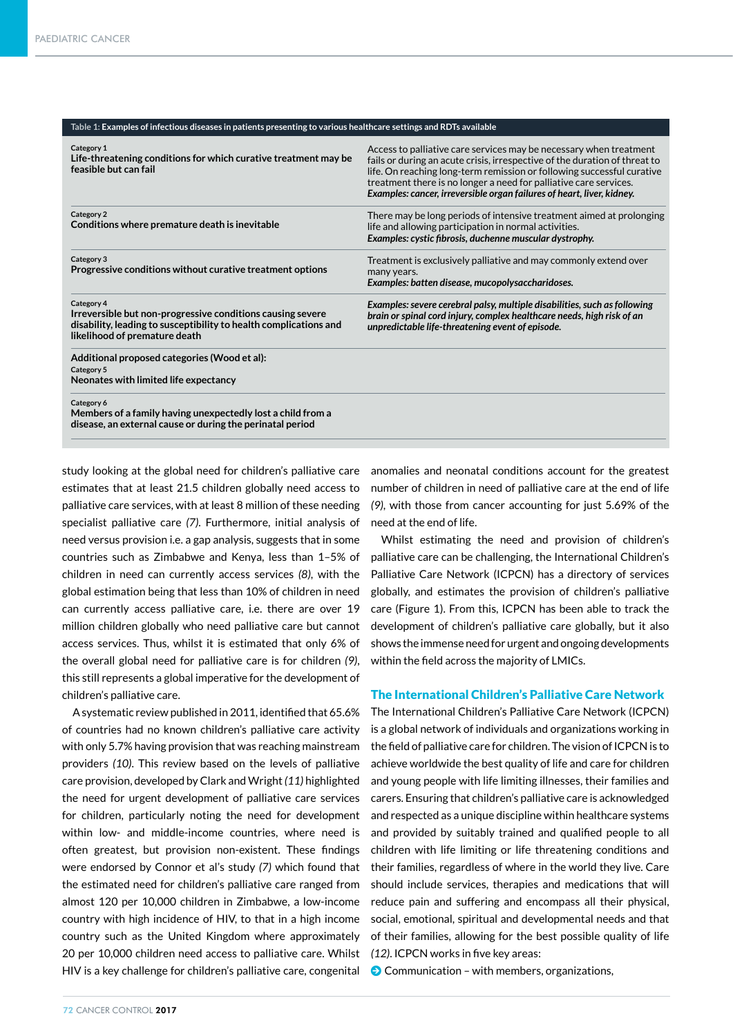#### **Table 1: Examples of infectious diseases in patients presenting to various healthcare settings and RDTs available**

| Category 1<br>Life-threatening conditions for which curative treatment may be<br>feasible but can fail                                                                         | Access to palliative care services may be necessary when treatment<br>fails or during an acute crisis, irrespective of the duration of threat to<br>life. On reaching long-term remission or following successful curative<br>treatment there is no longer a need for palliative care services.<br>Examples: cancer, irreversible organ failures of heart, liver, kidney. |
|--------------------------------------------------------------------------------------------------------------------------------------------------------------------------------|---------------------------------------------------------------------------------------------------------------------------------------------------------------------------------------------------------------------------------------------------------------------------------------------------------------------------------------------------------------------------|
| Category 2<br>Conditions where premature death is inevitable                                                                                                                   | There may be long periods of intensive treatment aimed at prolonging<br>life and allowing participation in normal activities.<br>Examples: cystic fibrosis, duchenne muscular dystrophy.                                                                                                                                                                                  |
| Category 3<br>Progressive conditions without curative treatment options                                                                                                        | Treatment is exclusively palliative and may commonly extend over<br>many years.<br>Examples: batten disease, mucopolysaccharidoses.                                                                                                                                                                                                                                       |
| Category 4<br>Irreversible but non-progressive conditions causing severe<br>disability, leading to susceptibility to health complications and<br>likelihood of premature death | Examples: severe cerebral palsy, multiple disabilities, such as following<br>brain or spinal cord injury, complex healthcare needs, high risk of an<br>unpredictable life-threatening event of episode.                                                                                                                                                                   |
| Additional proposed categories (Wood et al):<br>Category 5<br>Neonates with limited life expectancy                                                                            |                                                                                                                                                                                                                                                                                                                                                                           |
| Category 6<br>Members of a family having unexpectedly lost a child from a<br>disease, an external cause or during the perinatal period                                         |                                                                                                                                                                                                                                                                                                                                                                           |

study looking at the global need for children's palliative care estimates that at least 21.5 children globally need access to palliative care services, with at least 8 million of these needing specialist palliative care *(7)*. Furthermore, initial analysis of need versus provision i.e. a gap analysis, suggests that in some countries such as Zimbabwe and Kenya, less than 1–5% of children in need can currently access services *(8)*, with the global estimation being that less than 10% of children in need can currently access palliative care, i.e. there are over 19 million children globally who need palliative care but cannot access services. Thus, whilst it is estimated that only 6% of the overall global need for palliative care is for children *(9)*, this still represents a global imperative for the development of children's palliative care.

A systematic review published in 2011, identified that 65.6% of countries had no known children's palliative care activity with only 5.7% having provision that was reaching mainstream providers *(10)*. This review based on the levels of palliative care provision, developed by Clark and Wright *(11)* highlighted the need for urgent development of palliative care services for children, particularly noting the need for development within low- and middle-income countries, where need is often greatest, but provision non-existent. These findings were endorsed by Connor et al's study *(7)* which found that the estimated need for children's palliative care ranged from almost 120 per 10,000 children in Zimbabwe, a low-income country with high incidence of HIV, to that in a high income country such as the United Kingdom where approximately 20 per 10,000 children need access to palliative care. Whilst HIV is a key challenge for children's palliative care, congenital

anomalies and neonatal conditions account for the greatest number of children in need of palliative care at the end of life *(9)*, with those from cancer accounting for just 5.69% of the need at the end of life.

Whilst estimating the need and provision of children's palliative care can be challenging, the International Children's Palliative Care Network (ICPCN) has a directory of services globally, and estimates the provision of children's palliative care (Figure 1). From this, ICPCN has been able to track the development of children's palliative care globally, but it also shows the immense need for urgent and ongoing developments within the field across the majority of LMICs.

### The International Children's Palliative Care Network

The International Children's Palliative Care Network (ICPCN) is a global network of individuals and organizations working in the field of palliative care for children. The vision of ICPCN is to achieve worldwide the best quality of life and care for children and young people with life limiting illnesses, their families and carers. Ensuring that children's palliative care is acknowledged and respected as a unique discipline within healthcare systems and provided by suitably trained and qualified people to all children with life limiting or life threatening conditions and their families, regardless of where in the world they live. Care should include services, therapies and medications that will reduce pain and suffering and encompass all their physical, social, emotional, spiritual and developmental needs and that of their families, allowing for the best possible quality of life *(12)*. ICPCN works in five key areas:

 $\Theta$  Communication – with members, organizations,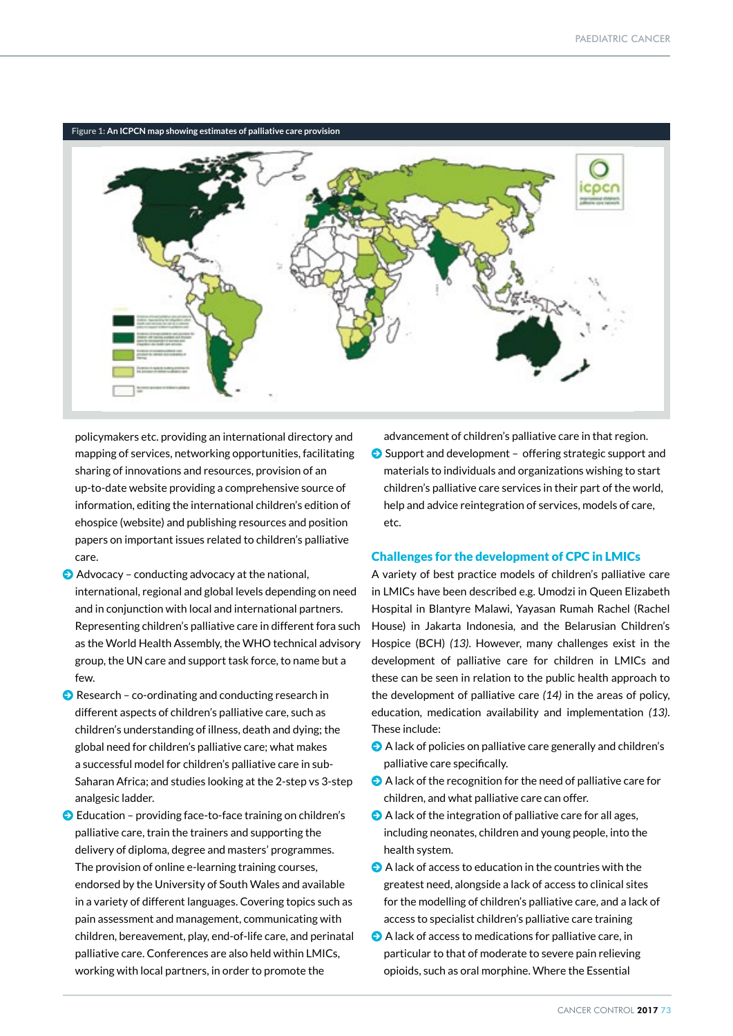

**Figure 1: An ICPCN map showing estimates of palliative care provision**

policymakers etc. providing an international directory and mapping of services, networking opportunities, facilitating sharing of innovations and resources, provision of an up-to-date website providing a comprehensive source of information, editing the international children's edition of ehospice (website) and publishing resources and position papers on important issues related to children's palliative care.

- $\Theta$  Advocacy conducting advocacy at the national, international, regional and global levels depending on need and in conjunction with local and international partners. Representing children's palliative care in different fora such as the World Health Assembly, the WHO technical advisory group, the UN care and support task force, to name but a few.
- $\Theta$  Research co-ordinating and conducting research in different aspects of children's palliative care, such as children's understanding of illness, death and dying; the global need for children's palliative care; what makes a successful model for children's palliative care in sub-Saharan Africa; and studies looking at the 2-step vs 3-step analgesic ladder.
- $\bullet$  Education providing face-to-face training on children's palliative care, train the trainers and supporting the delivery of diploma, degree and masters' programmes. The provision of online e-learning training courses, endorsed by the University of South Wales and available in a variety of different languages. Covering topics such as pain assessment and management, communicating with children, bereavement, play, end-of-life care, and perinatal palliative care. Conferences are also held within LMICs, working with local partners, in order to promote the

advancement of children's palliative care in that region.  $\bigodot$  Support and development - offering strategic support and materials to individuals and organizations wishing to start children's palliative care services in their part of the world, help and advice reintegration of services, models of care, etc.

# Challenges for the development of CPC in LMICs

A variety of best practice models of children's palliative care in LMICs have been described e.g. Umodzi in Queen Elizabeth Hospital in Blantyre Malawi, Yayasan Rumah Rachel (Rachel House) in Jakarta Indonesia, and the Belarusian Children's Hospice (BCH) *(13)*. However, many challenges exist in the development of palliative care for children in LMICs and these can be seen in relation to the public health approach to the development of palliative care *(14)* in the areas of policy, education, medication availability and implementation *(13)*. These include:

- $\Theta$  A lack of policies on palliative care generally and children's palliative care specifically.
- $\bullet$  A lack of the recognition for the need of palliative care for children, and what palliative care can offer.
- $\bullet$  A lack of the integration of palliative care for all ages, including neonates, children and young people, into the health system.
- $\bullet$  A lack of access to education in the countries with the greatest need, alongside a lack of access to clinical sites for the modelling of children's palliative care, and a lack of access to specialist children's palliative care training
- $\bullet$  A lack of access to medications for palliative care, in particular to that of moderate to severe pain relieving opioids, such as oral morphine. Where the Essential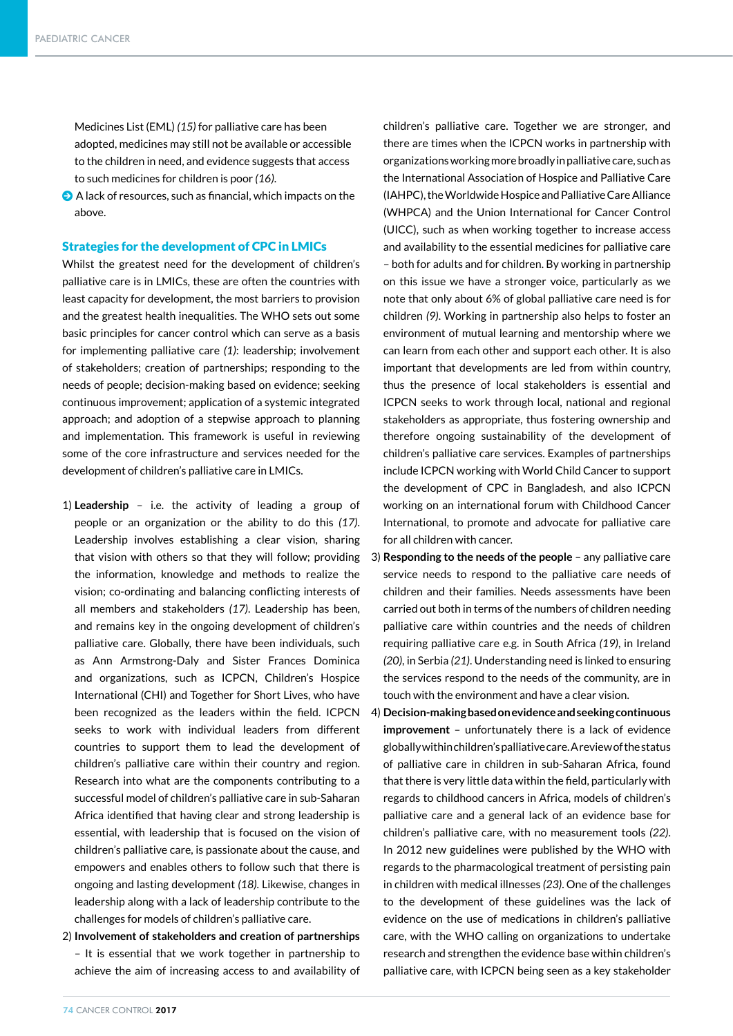Medicines List (EML) *(15)* for palliative care has been adopted, medicines may still not be available or accessible to the children in need, and evidence suggests that access to such medicines for children is poor *(16)*.

 $\odot$  A lack of resources, such as financial, which impacts on the above.

#### Strategies for the development of CPC in LMICs

Whilst the greatest need for the development of children's palliative care is in LMICs, these are often the countries with least capacity for development, the most barriers to provision and the greatest health inequalities. The WHO sets out some basic principles for cancer control which can serve as a basis for implementing palliative care *(1)*: leadership; involvement of stakeholders; creation of partnerships; responding to the needs of people; decision-making based on evidence; seeking continuous improvement; application of a systemic integrated approach; and adoption of a stepwise approach to planning and implementation. This framework is useful in reviewing some of the core infrastructure and services needed for the development of children's palliative care in LMICs.

- 1) **Leadership** i.e. the activity of leading a group of people or an organization or the ability to do this *(17)*. Leadership involves establishing a clear vision, sharing that vision with others so that they will follow; providing the information, knowledge and methods to realize the vision; co-ordinating and balancing conflicting interests of all members and stakeholders *(17)*. Leadership has been, and remains key in the ongoing development of children's palliative care. Globally, there have been individuals, such as Ann Armstrong-Daly and Sister Frances Dominica and organizations, such as ICPCN, Children's Hospice International (CHI) and Together for Short Lives, who have been recognized as the leaders within the field. ICPCN seeks to work with individual leaders from different countries to support them to lead the development of children's palliative care within their country and region. Research into what are the components contributing to a successful model of children's palliative care in sub-Saharan Africa identified that having clear and strong leadership is essential, with leadership that is focused on the vision of children's palliative care, is passionate about the cause, and empowers and enables others to follow such that there is ongoing and lasting development *(18)*. Likewise, changes in leadership along with a lack of leadership contribute to the challenges for models of children's palliative care.
- 2) **Involvement of stakeholders and creation of partnerships** – It is essential that we work together in partnership to achieve the aim of increasing access to and availability of

children's palliative care. Together we are stronger, and there are times when the ICPCN works in partnership with organizations working more broadly in palliative care, such as the International Association of Hospice and Palliative Care (IAHPC), the Worldwide Hospice and Palliative Care Alliance (WHPCA) and the Union International for Cancer Control (UICC), such as when working together to increase access and availability to the essential medicines for palliative care – both for adults and for children. By working in partnership on this issue we have a stronger voice, particularly as we note that only about 6% of global palliative care need is for children *(9)*. Working in partnership also helps to foster an environment of mutual learning and mentorship where we can learn from each other and support each other. It is also important that developments are led from within country, thus the presence of local stakeholders is essential and ICPCN seeks to work through local, national and regional stakeholders as appropriate, thus fostering ownership and therefore ongoing sustainability of the development of children's palliative care services. Examples of partnerships include ICPCN working with World Child Cancer to support the development of CPC in Bangladesh, and also ICPCN working on an international forum with Childhood Cancer International, to promote and advocate for palliative care for all children with cancer.

- 3) **Responding to the needs of the people**  any palliative care service needs to respond to the palliative care needs of children and their families. Needs assessments have been carried out both in terms of the numbers of children needing palliative care within countries and the needs of children requiring palliative care e.g. in South Africa *(19)*, in Ireland *(20)*, in Serbia *(21)*. Understanding need is linked to ensuring the services respond to the needs of the community, are in touch with the environment and have a clear vision.
- 4) **Decision-making based on evidence and seeking continuous improvement** – unfortunately there is a lack of evidence globally within children's palliative care. A review of the status of palliative care in children in sub-Saharan Africa, found that there is very little data within the field, particularly with regards to childhood cancers in Africa, models of children's palliative care and a general lack of an evidence base for children's palliative care, with no measurement tools *(22)*. In 2012 new guidelines were published by the WHO with regards to the pharmacological treatment of persisting pain in children with medical illnesses *(23)*. One of the challenges to the development of these guidelines was the lack of evidence on the use of medications in children's palliative care, with the WHO calling on organizations to undertake research and strengthen the evidence base within children's palliative care, with ICPCN being seen as a key stakeholder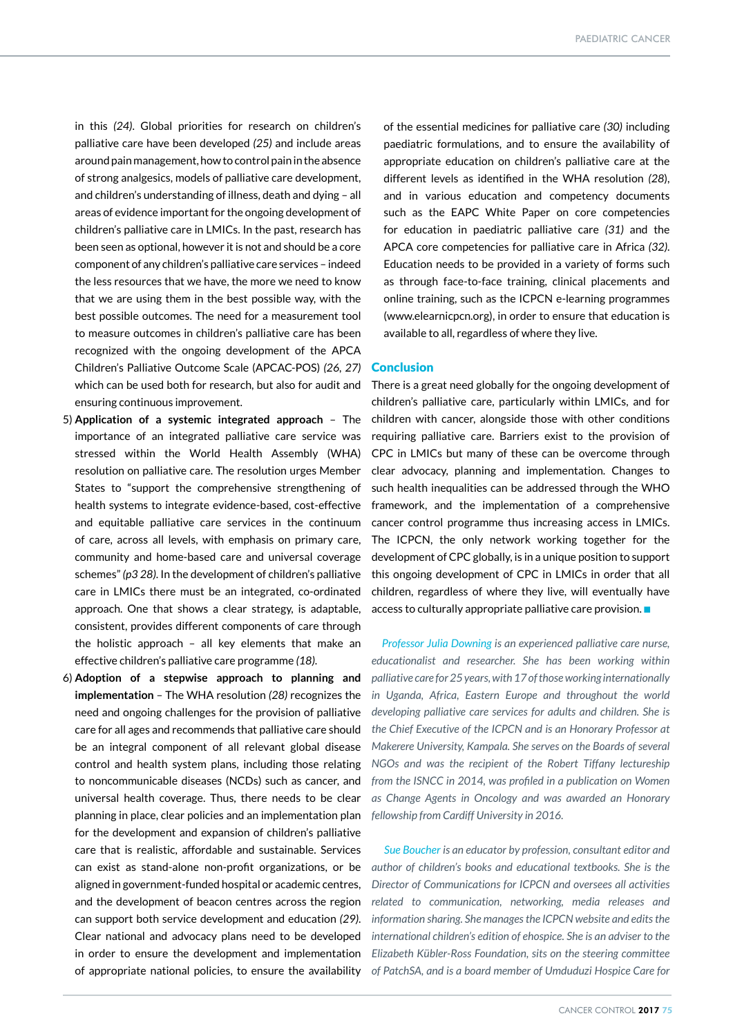in this *(24)*. Global priorities for research on children's palliative care have been developed *(25)* and include areas around pain management, how to control pain in the absence of strong analgesics, models of palliative care development, and children's understanding of illness, death and dying – all areas of evidence important for the ongoing development of children's palliative care in LMICs. In the past, research has been seen as optional, however it is not and should be a core component of any children's palliative care services – indeed the less resources that we have, the more we need to know that we are using them in the best possible way, with the best possible outcomes. The need for a measurement tool to measure outcomes in children's palliative care has been recognized with the ongoing development of the APCA Children's Palliative Outcome Scale (APCAC-POS) *(26, 27)*  which can be used both for research, but also for audit and ensuring continuous improvement.

- 5) **Application of a systemic integrated approach** The importance of an integrated palliative care service was stressed within the World Health Assembly (WHA) resolution on palliative care. The resolution urges Member States to "support the comprehensive strengthening of health systems to integrate evidence-based, cost-effective and equitable palliative care services in the continuum of care, across all levels, with emphasis on primary care, community and home-based care and universal coverage schemes" *(p3 28)*. In the development of children's palliative care in LMICs there must be an integrated, co-ordinated approach. One that shows a clear strategy, is adaptable, consistent, provides different components of care through the holistic approach – all key elements that make an effective children's palliative care programme *(18)*.
- 6) **Adoption of a stepwise approach to planning and implementation** – The WHA resolution *(28)* recognizes the need and ongoing challenges for the provision of palliative care for all ages and recommends that palliative care should be an integral component of all relevant global disease control and health system plans, including those relating to noncommunicable diseases (NCDs) such as cancer, and universal health coverage. Thus, there needs to be clear planning in place, clear policies and an implementation plan for the development and expansion of children's palliative care that is realistic, affordable and sustainable. Services can exist as stand-alone non-profit organizations, or be aligned in government-funded hospital or academic centres, and the development of beacon centres across the region can support both service development and education *(29)*. Clear national and advocacy plans need to be developed in order to ensure the development and implementation

of the essential medicines for palliative care *(30)* including paediatric formulations, and to ensure the availability of appropriate education on children's palliative care at the different levels as identified in the WHA resolution *(28*), and in various education and competency documents such as the EAPC White Paper on core competencies for education in paediatric palliative care *(31)* and the APCA core competencies for palliative care in Africa *(32)*. Education needs to be provided in a variety of forms such as through face-to-face training, clinical placements and online training, such as the ICPCN e-learning programmes (www.elearnicpcn.org), in order to ensure that education is available to all, regardless of where they live.

#### **Conclusion**

There is a great need globally for the ongoing development of children's palliative care, particularly within LMICs, and for children with cancer, alongside those with other conditions requiring palliative care. Barriers exist to the provision of CPC in LMICs but many of these can be overcome through clear advocacy, planning and implementation. Changes to such health inequalities can be addressed through the WHO framework, and the implementation of a comprehensive cancer control programme thus increasing access in LMICs. The ICPCN, the only network working together for the development of CPC globally, is in a unique position to support this ongoing development of CPC in LMICs in order that all children, regardless of where they live, will eventually have access to culturally appropriate palliative care provision.  $\blacksquare$ 

*Professor Julia Downing is an experienced palliative care nurse, educationalist and researcher. She has been working within palliative care for 25 years, with 17 of those working internationally in Uganda, Africa, Eastern Europe and throughout the world developing palliative care services for adults and children. She is the Chief Executive of the ICPCN and is an Honorary Professor at Makerere University, Kampala. She serves on the Boards of several NGOs and was the recipient of the Robert Tiffany lectureship from the ISNCC in 2014, was profiled in a publication on Women as Change Agents in Oncology and was awarded an Honorary fellowship from Cardiff University in 2016.*

of appropriate national policies, to ensure the availability *of PatchSA, and is a board member of Umduduzi Hospice Care for Sue Boucher is an educator by profession, consultant editor and*  author of children's books and educational textbooks. She is the *Director of Communications for ICPCN and oversees all activities related to communication, networking, media releases and information sharing. She manages the ICPCN website and edits the international children's edition of ehospice. She is an adviser to the Elizabeth Kübler-Ross Foundation, sits on the steering committee*